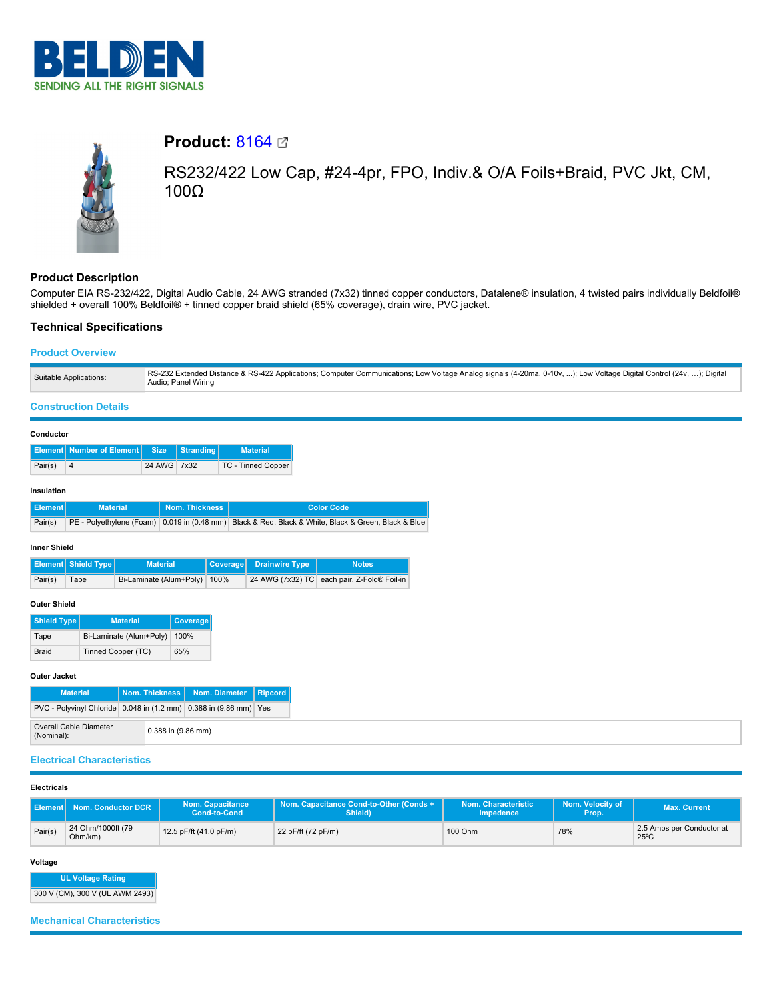



# **Product: [8164](https://catalog.belden.com/index.cfm?event=pd&p=PF_8164&tab=downloads) 2**

RS232/422 Low Cap, #24-4pr, FPO, Indiv.& O/A Foils+Braid, PVC Jkt, CM, 100Ω

# **Product Description**

Computer EIA RS-232/422, Digital Audio Cable, 24 AWG stranded (7x32) tinned copper conductors, Datalene® insulation, 4 twisted pairs individually Beldfoil® shielded + overall 100% Beldfoil® + tinned copper braid shield (65% coverage), drain wire, PVC jacket.

## **Technical Specifications**

## **Product Overview**

| Suitable Applications: | RS-232 Extended Distance & RS-422 Applications; Computer Communications; Low Voltage Analog signals (4-20ma, 0-10v, ); Low Voltage Digital Control (24v, ); Digital<br>Audio; Panel Wiring |
|------------------------|--------------------------------------------------------------------------------------------------------------------------------------------------------------------------------------------|
|------------------------|--------------------------------------------------------------------------------------------------------------------------------------------------------------------------------------------|

## **Construction Details**

| Conductor |
|-----------|
|-----------|

|         | <b>Element Number of Element Size Stranding</b> |             | <b>Material</b>    |
|---------|-------------------------------------------------|-------------|--------------------|
| Pair(s) |                                                 | 24 AWG 7x32 | TC - Tinned Copper |

## **Insulation**

| ∐Element I | <b>Material</b> | <b>Nom. Thickness</b> | Color Code                                                                                          |
|------------|-----------------|-----------------------|-----------------------------------------------------------------------------------------------------|
| Pair(s)    |                 |                       | PE - Polyethylene (Foam) 0.019 in (0.48 mm) Black & Red, Black & White, Black & Green, Black & Blue |

#### **Inner Shield**

|         | <b>Element Shield Type</b> | <b>Material</b>              | Coverage Drainwire Type | <b>Notes</b>                                |
|---------|----------------------------|------------------------------|-------------------------|---------------------------------------------|
| Pair(s) | Tape                       | Bi-Laminate (Alum+Poly) 100% |                         | 24 AWG (7x32) TC each pair, Z-Fold® Foil-in |

## **Outer Shield**

| <b>Shield Type</b> | <b>Material</b>         | <b>Coverage</b> |
|--------------------|-------------------------|-----------------|
| Tape               | Bi-Laminate (Alum+Poly) | 100%            |
| <b>Braid</b>       | Tinned Copper (TC)      | 65%             |

#### **Outer Jacket**

| <b>Material</b>                                                   |                        | Nom. Thickness   Nom. Diameter   Ripcord |  |
|-------------------------------------------------------------------|------------------------|------------------------------------------|--|
| PVC - Polyvinyl Chloride 0.048 in (1.2 mm) 0.388 in (9.86 mm) Yes |                        |                                          |  |
| Overall Cable Diameter<br>(Nominal):                              | $0.388$ in $(9.86$ mm) |                                          |  |

## **Electrical Characteristics**

#### **Electricals**

|         | Nom. Conductor DCR           | <b>Nom. Capacitance</b><br>Cond-to-Cond | Nom. Capacitance Cond-to-Other (Conds +<br>Shield) | Nom. Characteristic<br>Impedence | Nom. Velocity of<br>Prop. | Max. Current                                |
|---------|------------------------------|-----------------------------------------|----------------------------------------------------|----------------------------------|---------------------------|---------------------------------------------|
| Pair(s) | 24 Ohm/1000ft (79<br>Ohm/km) | 12.5 pF/ft (41.0 pF/m)                  | 22 pF/ft (72 pF/m)                                 | 100 Ohm                          | 78%                       | 2.5 Amps per Conductor at<br>$25^{\circ}$ C |

## **Voltage**

**UL Voltage Rating** 300 V (CM), 300 V (UL AWM 2493)

**Mechanical Characteristics**